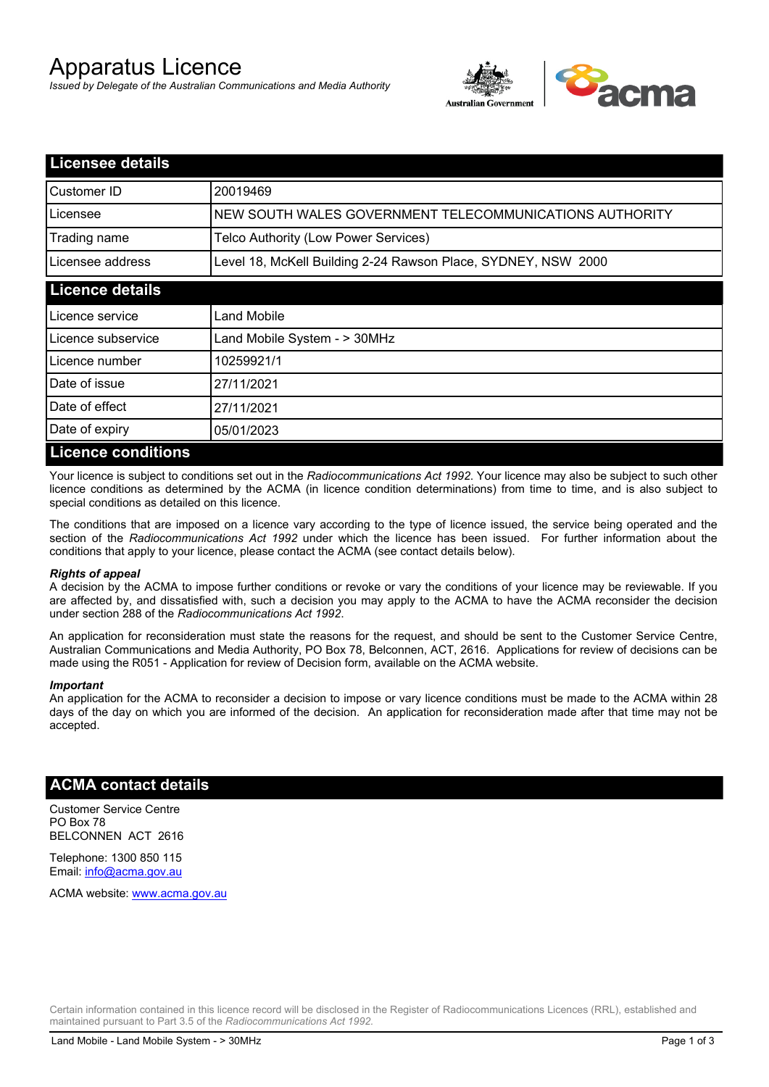# Apparatus Licence

*Issued by Delegate of the Australian Communications and Media Authority*



| <b>Licensee details</b>   |                                                               |  |
|---------------------------|---------------------------------------------------------------|--|
| Customer ID               | 20019469                                                      |  |
| Licensee                  | NEW SOUTH WALES GOVERNMENT TELECOMMUNICATIONS AUTHORITY       |  |
| Trading name              | Telco Authority (Low Power Services)                          |  |
| Licensee address          | Level 18, McKell Building 2-24 Rawson Place, SYDNEY, NSW 2000 |  |
| <b>Licence details</b>    |                                                               |  |
| l Licence service         | Land Mobile                                                   |  |
| Licence subservice        | Land Mobile System - > 30MHz                                  |  |
| Licence number            | 10259921/1                                                    |  |
| Date of issue             | 27/11/2021                                                    |  |
| Date of effect            | 27/11/2021                                                    |  |
| Date of expiry            | 05/01/2023                                                    |  |
| <b>Licence conditions</b> |                                                               |  |

Your licence is subject to conditions set out in the *Radiocommunications Act 1992*. Your licence may also be subject to such other licence conditions as determined by the ACMA (in licence condition determinations) from time to time, and is also subject to special conditions as detailed on this licence.

The conditions that are imposed on a licence vary according to the type of licence issued, the service being operated and the section of the *Radiocommunications Act 1992* under which the licence has been issued. For further information about the conditions that apply to your licence, please contact the ACMA (see contact details below).

#### *Rights of appeal*

A decision by the ACMA to impose further conditions or revoke or vary the conditions of your licence may be reviewable. If you are affected by, and dissatisfied with, such a decision you may apply to the ACMA to have the ACMA reconsider the decision under section 288 of the *Radiocommunications Act 1992*.

An application for reconsideration must state the reasons for the request, and should be sent to the Customer Service Centre, Australian Communications and Media Authority, PO Box 78, Belconnen, ACT, 2616. Applications for review of decisions can be made using the R051 - Application for review of Decision form, available on the ACMA website.

#### *Important*

An application for the ACMA to reconsider a decision to impose or vary licence conditions must be made to the ACMA within 28 days of the day on which you are informed of the decision. An application for reconsideration made after that time may not be accepted.

### **ACMA contact details**

Customer Service Centre PO Box 78 BELCONNEN ACT 2616

Telephone: 1300 850 115 Email: info@acma.gov.au

ACMA website: www.acma.gov.au

Certain information contained in this licence record will be disclosed in the Register of Radiocommunications Licences (RRL), established and maintained pursuant to Part 3.5 of the *Radiocommunications Act 1992.*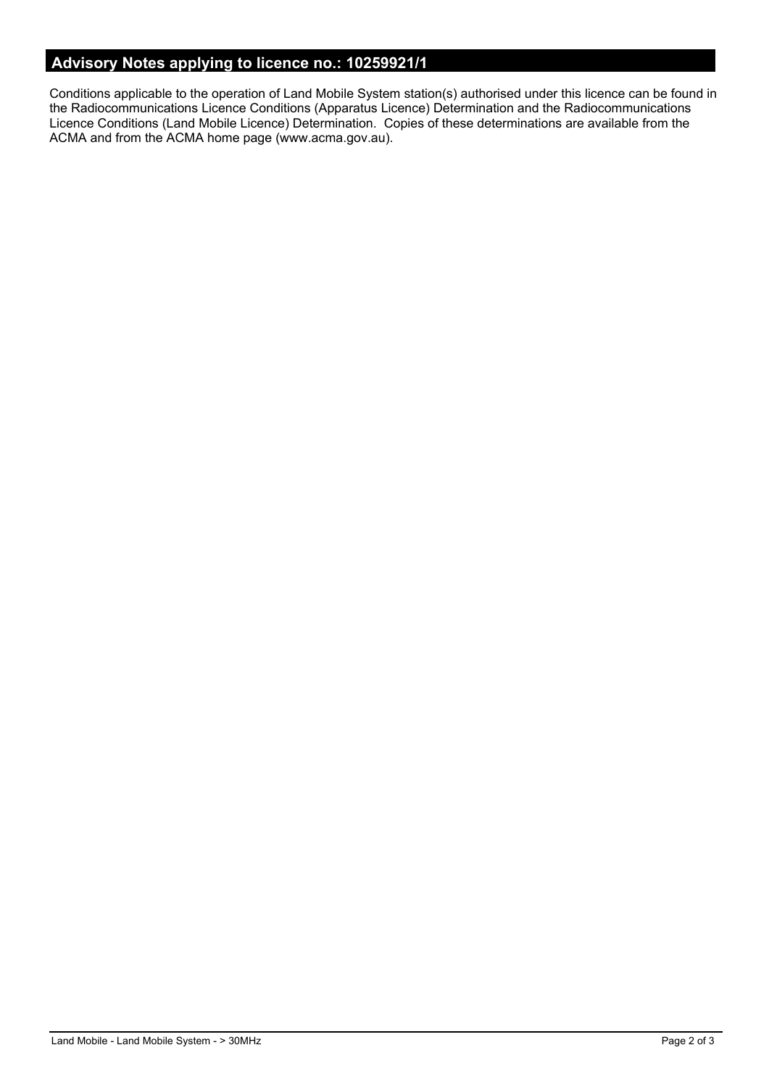# **Advisory Notes applying to licence no.: 10259921/1**

Conditions applicable to the operation of Land Mobile System station(s) authorised under this licence can be found in the Radiocommunications Licence Conditions (Apparatus Licence) Determination and the Radiocommunications Licence Conditions (Land Mobile Licence) Determination. Copies of these determinations are available from the ACMA and from the ACMA home page (www.acma.gov.au).